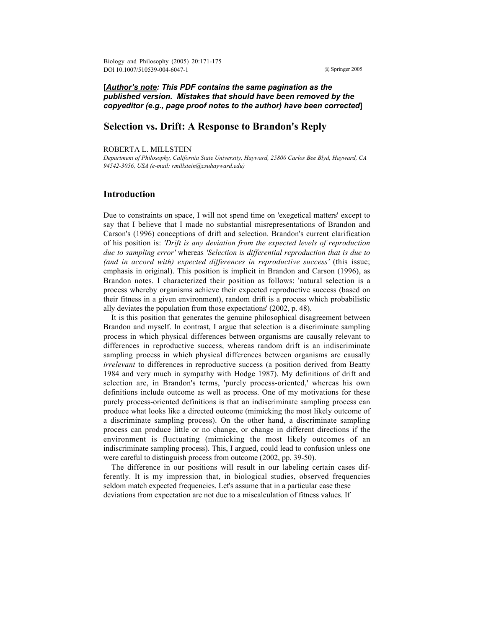Biology and Philosophy (2005) 20:171-175 DOl 10.1007/510539-004-6047-1 @ Springer 2005

## **[***Author's note: This PDF contains the same pagination as the published version. Mistakes that should have been removed by the copyeditor (e.g., page proof notes to the author) have been corrected***]**

# Selection vs. Drift: A Response to Brandon's Reply

ROBERTA L. MILLSTEIN

*Department of Philosophy, California State University, Hayward, 25800 Carlos Bee Blyd, Hayward, CA 94542-3056, USA (e-mail: rmillstein@csuhayward.edu)*

# Introduction

Due to constraints on space, I will not spend time on 'exegetical matters' except to say that I believe that I made no substantial misrepresentations of Brandon and Carson's (1996) conceptions of drift and selection. Brandon's current clarification of his position is: *'Drift is any deviation from the expected levels of reproduction due to sampling error'* whereas *'Selection is differential reproduction that is due to (and in accord with) expected differences in reproductive success'* (this issue; emphasis in original). This position is implicit in Brandon and Carson (1996), as Brandon notes. I characterized their position as follows: 'natural selection is a process whereby organisms achieve their expected reproductive success (based on their fitness in a given environment), random drift is a process which probabilistic ally deviates the population from those expectations' (2002, p. 48).

It is this position that generates the genuine philosophical disagreement between Brandon and myself. In contrast, I argue that selection is a discriminate sampling process in which physical differences between organisms are causally relevant to differences in reproductive success, whereas random drift is an indiscriminate sampling process in which physical differences between organisms are causally *irrelevant* to differences in reproductive success (a position derived from Beatty 1984 and very much in sympathy with Hodge 1987). My definitions of drift and selection are, in Brandon's terms, 'purely process-oriented,' whereas his own definitions include outcome as well as process. One of my motivations for these purely process-oriented definitions is that an indiscriminate sampling process can produce what looks like a directed outcome (mimicking the most likely outcome of a discriminate sampling process). On the other hand, a discriminate sampling process can produce little or no change, or change in different directions if the environment is fluctuating (mimicking the most likely outcomes of an indiscriminate sampling process). This, I argued, could lead to confusion unless one were careful to distinguish process from outcome (2002, pp. 39-50).

The difference in our positions will result in our labeling certain cases differently. It is my impression that, in biological studies, observed frequencies seldom match expected frequencies. Let's assume that in a particular case these deviations from expectation are not due to a miscalculation of fitness values. If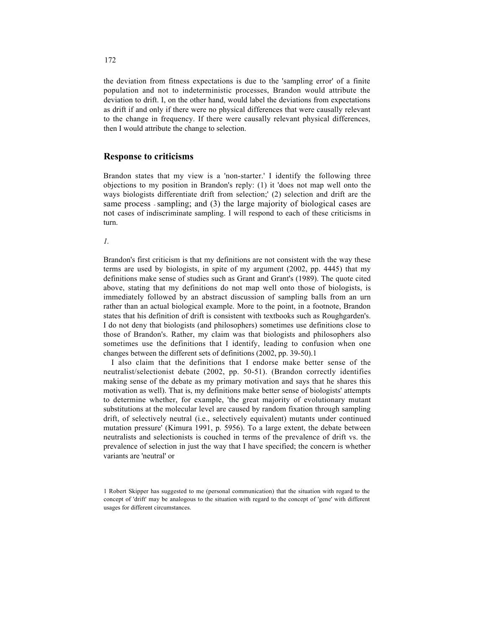the deviation from fitness expectations is due to the 'sampling error' of a finite population and not to indeterministic processes, Brandon would attribute the deviation to drift. I, on the other hand, would label the deviations from expectations as drift if and only if there were no physical differences that were causally relevant to the change in frequency. If there were causally relevant physical differences, then I would attribute the change to selection.

## Response to criticisms

Brandon states that my view is a 'non-starter.' I identify the following three objections to my position in Brandon's reply: (1) it 'does not map well onto the ways biologists differentiate drift from selection;' (2) selection and drift are the same process - sampling; and (3) the large majority of biological cases are not cases of indiscriminate sampling. I will respond to each of these criticisms in turn.

*1.*

Brandon's first criticism is that my definitions are not consistent with the way these terms are used by biologists, in spite of my argument (2002, pp. 4445) that my definitions make sense of studies such as Grant and Grant's (1989). The quote cited above, stating that my definitions do not map well onto those of biologists, is immediately followed by an abstract discussion of sampling balls from an urn rather than an actual biological example. More to the point, in a footnote, Brandon states that his definition of drift is consistent with textbooks such as Roughgarden's. I do not deny that biologists (and philosophers) sometimes use definitions close to those of Brandon's. Rather, my claim was that biologists and philosophers also sometimes use the definitions that I identify, leading to confusion when one changes between the different sets of definitions (2002, pp. 39-50).1

I also claim that the definitions that I endorse make better sense of the neutralist/selectionist debate (2002, pp. 50-51). (Brandon correctly identifies making sense of the debate as my primary motivation and says that he shares this motivation as well). That is, my definitions make better sense of biologists' attempts to determine whether, for example, 'the great majority of evolutionary mutant substitutions at the molecular level are caused by random fixation through sampling drift, of selectively neutral (i.e., selectively equivalent) mutants under continued mutation pressure' (Kimura 1991, p. 5956). To a large extent, the debate between neutralists and selectionists is couched in terms of the prevalence of drift vs. the prevalence of selection in just the way that I have specified; the concern is whether variants are 'neutral' or

<sup>1</sup> Robert Skipper has suggested to me (personal communication) that the situation with regard to the concept of 'drift' may be analogous to the situation with regard to the concept of 'gene' with different usages for different circumstances.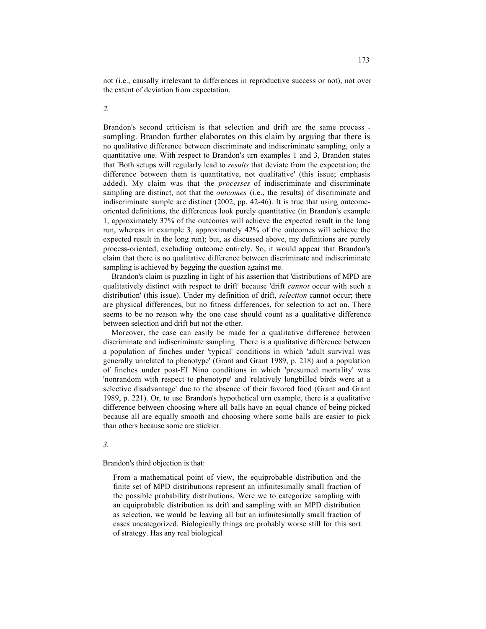not (i.e., causally irrelevant to differences in reproductive success or not), not over the extent of deviation from expectation.

*2.*

Brandon's second criticism is that selection and drift are the same process sampling. Brandon further elaborates on this claim by arguing that there is no qualitative difference between discriminate and indiscriminate sampling, only a quantitative one. With respect to Brandon's urn examples 1 and 3, Brandon states that 'Both setups will regularly lead to *results* that deviate from the expectation; the difference between them is quantitative, not qualitative' (this issue; emphasis added). My claim was that the *processes* of indiscriminate and discriminate sampling are distinct, not that the *outcomes* (i.e., the results) of discriminate and indiscriminate sample are distinct (2002, pp. 42-46). It is true that using outcomeoriented definitions, the differences look purely quantitative (in Brandon's example 1, approximately 37% of the outcomes will achieve the expected result in the long run, whereas in example 3, approximately 42% of the outcomes will achieve the expected result in the long run); but, as discussed above, my definitions are purely process-oriented, excluding outcome entirely. So, it would appear that Brandon's claim that there is no qualitative difference between discriminate and indiscriminate sampling is achieved by begging the question against me.

Brandon's claim is puzzling in light of his assertion that 'distributions of MPD are qualitatively distinct with respect to drift' because 'drift *cannot* occur with such a distribution' (this issue). Under my definition of drift, *selection* cannot occur; there are physical differences, but no fitness differences, for selection to act on. There seems to be no reason why the one case should count as a qualitative difference between selection and drift but not the other.

Moreover, the case can easily be made for a qualitative difference between discriminate and indiscriminate sampling. There is a qualitative difference between a population of finches under 'typical' conditions in which 'adult survival was generally unrelated to phenotype' (Grant and Grant 1989, p. 218) and a population of finches under post-EI Nino conditions in which 'presumed mortality' was 'nonrandom with respect to phenotype' and 'relatively longbilled birds were at a selective disadvantage' due to the absence of their favored food (Grant and Grant 1989, p. 221). Or, to use Brandon's hypothetical urn example, there is a qualitative difference between choosing where all balls have an equal chance of being picked because all are equally smooth and choosing where some balls are easier to pick than others because some are stickier.

#### *3.*

Brandon's third objection is that:

From a mathematical point of view, the equiprobable distribution and the finite set of MPD distributions represent an infinitesimally small fraction of the possible probability distributions. Were we to categorize sampling with an equiprobable distribution as drift and sampling with an MPD distribution as selection, we would be leaving all but an infinitesimally small fraction of cases uncategorized. Biologically things are probably worse still for this sort of strategy. Has any real biological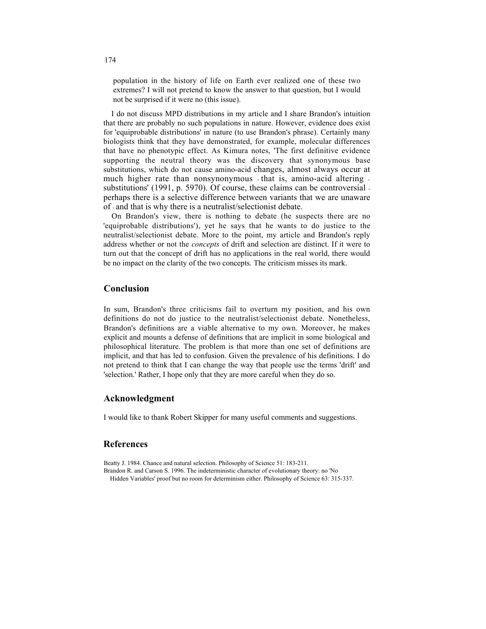population in the history of life on Earth ever realized one of these two extremes? I will not pretend to know the answer to that question, but I would not be surprised if it were no (this issue).

I do not discuss MPD distributions in my article and I share Brandon's intuition that there are probably no such populations in nature. However, evidence does exist for 'equiprobable distributions' in nature (to use Brandon's phrase). Certainly many biologists think that they have demonstrated, for example, molecular differences that have no phenotypic effect. As Kimura notes, 'The first definitive evidence supporting the neutral theory was the discovery that synonymous base substitutions, which do not cause amino-acid changes, almost always occur at much higher rate than nonsynonymous - that is, amino-acid altering substitutions' (1991, p. 5970). Of course, these claims can be controversial perhaps there is a selective difference between variants that we are unaware of - and that is why there is a neutralist/selectionist debate.

On Brandon's view, there is nothing to debate (he suspects there are no 'equiprobable distributions'), yet he says that he wants to do justice to the neutralist/selectionist debate. More to the point, my article and Brandon's reply address whether or not the *concepts* of drift and selection are distinct. If it were to turn out that the concept of drift has no applications in the real world, there would be no impact on the clarity of the two concepts. The criticism misses its mark.

## Conclusion

In sum, Brandon's three criticisms fail to overturn my position, and his own definitions do not do justice to the neutralist/selectionist debate. Nonetheless, Brandon's definitions are a viable alternative to my own. Moreover, he makes explicit and mounts a defense of definitions that are implicit in some biological and philosophical literature. The problem is that more than one set of definitions are implicit, and that has led to confusion. Given the prevalence of his definitions. I do not pretend to think that I can change the way that people use the terms 'drift' and 'selection.' Rather, I hope only that they are more careful when they do so.

### Acknowledgment

I would like to thank Robert Skipper for many useful comments and suggestions.

### References

Beatty J. 1984. Chance and natural selection. Philosophy of Science 51: 183-211. Brandon R. and Carson S. 1996. The indeterministic character of evolutionary theory: no 'No Hidden Variables' proof but no room for determinism either. Philosophy of Science 63: 315-337.